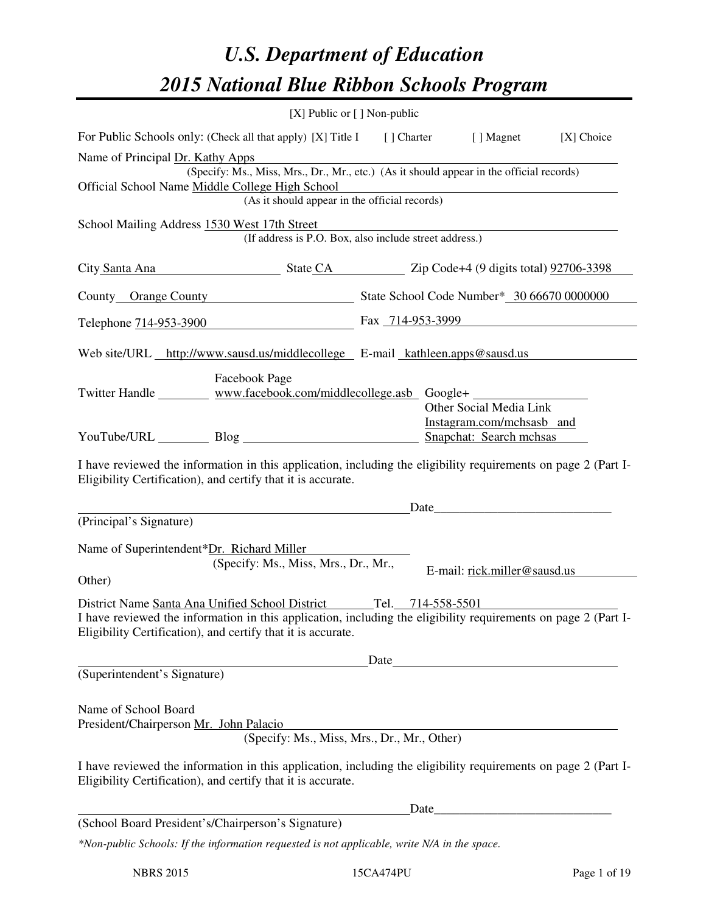# *U.S. Department of Education 2015 National Blue Ribbon Schools Program*

|                                                                                                                                | [X] Public or [] Non-public                            |                                                                                                                                                                                                                               |
|--------------------------------------------------------------------------------------------------------------------------------|--------------------------------------------------------|-------------------------------------------------------------------------------------------------------------------------------------------------------------------------------------------------------------------------------|
| For Public Schools only: (Check all that apply) [X] Title I [] Charter [] Magnet                                               |                                                        | [X] Choice                                                                                                                                                                                                                    |
| Name of Principal Dr. Kathy Apps<br>Official School Name Middle College High School                                            | (As it should appear in the official records)          | (Specify: Ms., Miss, Mrs., Dr., Mr., etc.) (As it should appear in the official records)<br><u> 1980 - Johann Barn, mars ann an t-Amhain Aonaichte ann an t-Aonaichte ann an t-Aonaichte ann an t-Aonaichte a</u>             |
| School Mailing Address 1530 West 17th Street                                                                                   | (If address is P.O. Box, also include street address.) |                                                                                                                                                                                                                               |
|                                                                                                                                |                                                        | City Santa Ana State CA Zip Code+4 (9 digits total) 92706-3398                                                                                                                                                                |
|                                                                                                                                |                                                        | County Orange County State School Code Number* 30 66670 0000000                                                                                                                                                               |
|                                                                                                                                |                                                        | Telephone 714-953-3900 Fax 714-953-3999                                                                                                                                                                                       |
| Web site/URL http://www.sausd.us/middlecollege E-mail kathleen.apps@sausd.us                                                   |                                                        |                                                                                                                                                                                                                               |
| Twitter Handle ___________ www.facebook.com/middlecollege.asb Google+                                                          | Facebook Page                                          | Other Social Media Link<br>Instagram.com/mchsasb and                                                                                                                                                                          |
| YouTube/URL Blog Blog Snapchat: Search mchsas                                                                                  |                                                        |                                                                                                                                                                                                                               |
| Eligibility Certification), and certify that it is accurate.                                                                   |                                                        | I have reviewed the information in this application, including the eligibility requirements on page 2 (Part I-                                                                                                                |
| (Principal's Signature)                                                                                                        |                                                        | Date                                                                                                                                                                                                                          |
| Name of Superintendent*Dr. Richard Miller<br>Other)<br>District Name Santa Ana Unified School District Tel. 714-558-5501       | (Specify: Ms., Miss, Mrs., Dr., Mr.,                   | E-mail: rick.miller@sausd.us                                                                                                                                                                                                  |
| Eligibility Certification), and certify that it is accurate.                                                                   |                                                        | I have reviewed the information in this application, including the eligibility requirements on page 2 (Part I-                                                                                                                |
| (Superintendent's Signature)                                                                                                   |                                                        | Date                                                                                                                                                                                                                          |
| Name of School Board<br>President/Chairperson Mr. John Palacio<br>Eligibility Certification), and certify that it is accurate. | (Specify: Ms., Miss, Mrs., Dr., Mr., Other)            | I have reviewed the information in this application, including the eligibility requirements on page 2 (Part I-                                                                                                                |
| (School Board President's/Chairperson's Signature)                                                                             |                                                        | Date experience and the set of the set of the set of the set of the set of the set of the set of the set of the set of the set of the set of the set of the set of the set of the set of the set of the set of the set of the |
| *Non-public Schools: If the information requested is not applicable, write N/A in the space.                                   |                                                        |                                                                                                                                                                                                                               |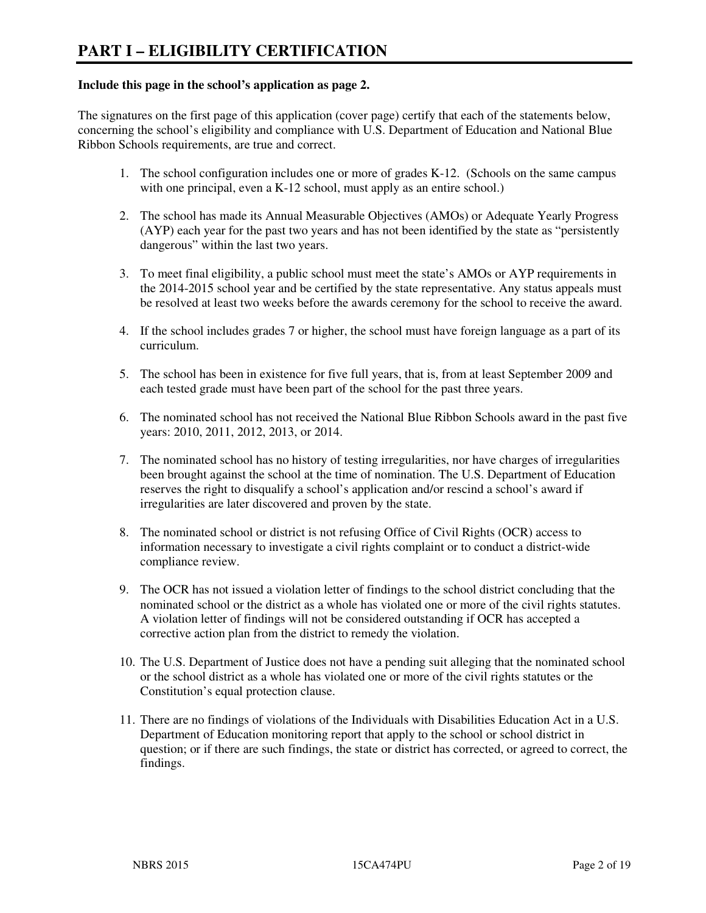#### **Include this page in the school's application as page 2.**

The signatures on the first page of this application (cover page) certify that each of the statements below, concerning the school's eligibility and compliance with U.S. Department of Education and National Blue Ribbon Schools requirements, are true and correct.

- 1. The school configuration includes one or more of grades K-12. (Schools on the same campus with one principal, even a K-12 school, must apply as an entire school.)
- 2. The school has made its Annual Measurable Objectives (AMOs) or Adequate Yearly Progress (AYP) each year for the past two years and has not been identified by the state as "persistently dangerous" within the last two years.
- 3. To meet final eligibility, a public school must meet the state's AMOs or AYP requirements in the 2014-2015 school year and be certified by the state representative. Any status appeals must be resolved at least two weeks before the awards ceremony for the school to receive the award.
- 4. If the school includes grades 7 or higher, the school must have foreign language as a part of its curriculum.
- 5. The school has been in existence for five full years, that is, from at least September 2009 and each tested grade must have been part of the school for the past three years.
- 6. The nominated school has not received the National Blue Ribbon Schools award in the past five years: 2010, 2011, 2012, 2013, or 2014.
- 7. The nominated school has no history of testing irregularities, nor have charges of irregularities been brought against the school at the time of nomination. The U.S. Department of Education reserves the right to disqualify a school's application and/or rescind a school's award if irregularities are later discovered and proven by the state.
- 8. The nominated school or district is not refusing Office of Civil Rights (OCR) access to information necessary to investigate a civil rights complaint or to conduct a district-wide compliance review.
- 9. The OCR has not issued a violation letter of findings to the school district concluding that the nominated school or the district as a whole has violated one or more of the civil rights statutes. A violation letter of findings will not be considered outstanding if OCR has accepted a corrective action plan from the district to remedy the violation.
- 10. The U.S. Department of Justice does not have a pending suit alleging that the nominated school or the school district as a whole has violated one or more of the civil rights statutes or the Constitution's equal protection clause.
- 11. There are no findings of violations of the Individuals with Disabilities Education Act in a U.S. Department of Education monitoring report that apply to the school or school district in question; or if there are such findings, the state or district has corrected, or agreed to correct, the findings.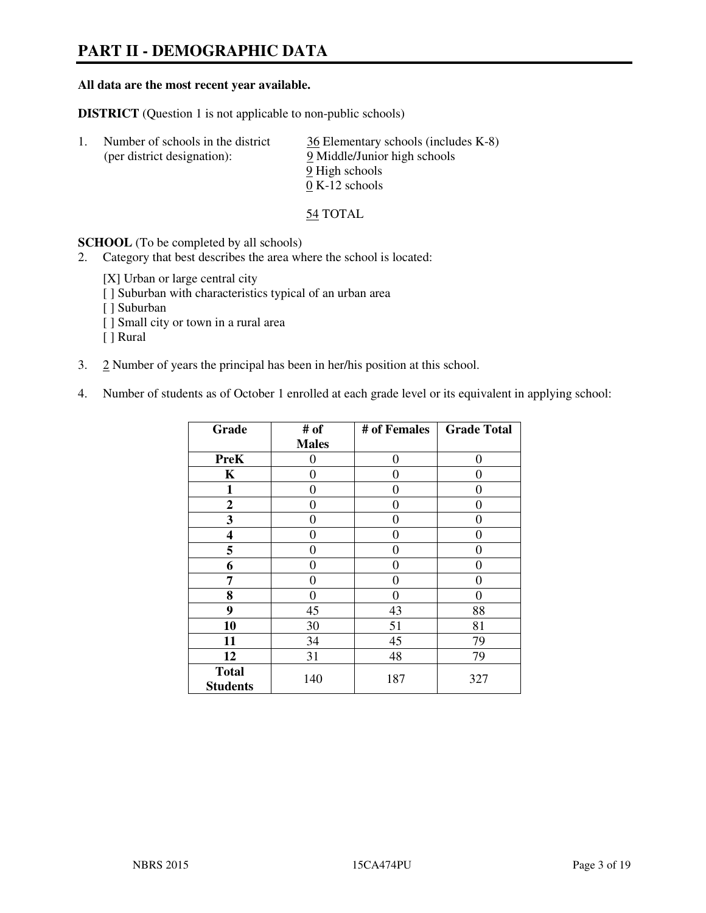# **PART II - DEMOGRAPHIC DATA**

#### **All data are the most recent year available.**

**DISTRICT** (Question 1 is not applicable to non-public schools)

| Number of schools in the district<br>(per district designation): | 36 Elementary schools (includes K-8)<br>9 Middle/Junior high schools |
|------------------------------------------------------------------|----------------------------------------------------------------------|
|                                                                  | 9 High schools<br>$0 K-12$ schools                                   |

54 TOTAL

**SCHOOL** (To be completed by all schools)

- 2. Category that best describes the area where the school is located:
	- [X] Urban or large central city
	- [ ] Suburban with characteristics typical of an urban area
	- [ ] Suburban
	- [ ] Small city or town in a rural area
	- [ ] Rural
- 3. 2 Number of years the principal has been in her/his position at this school.
- 4. Number of students as of October 1 enrolled at each grade level or its equivalent in applying school:

| Grade                           | # of         | # of Females | <b>Grade Total</b> |
|---------------------------------|--------------|--------------|--------------------|
|                                 | <b>Males</b> |              |                    |
| <b>PreK</b>                     | 0            | $\theta$     | $\theta$           |
| K                               | 0            | 0            | 0                  |
| 1                               | 0            | 0            | 0                  |
| $\mathbf{2}$                    | 0            | 0            | 0                  |
| 3                               | 0            | 0            | 0                  |
| 4                               | 0            | 0            | 0                  |
| 5                               | 0            | 0            | $\theta$           |
| 6                               | 0            | 0            | 0                  |
| 7                               | 0            | 0            | 0                  |
| 8                               | 0            | 0            | 0                  |
| 9                               | 45           | 43           | 88                 |
| 10                              | 30           | 51           | 81                 |
| 11                              | 34           | 45           | 79                 |
| 12                              | 31           | 48           | 79                 |
| <b>Total</b><br><b>Students</b> | 140          | 187          | 327                |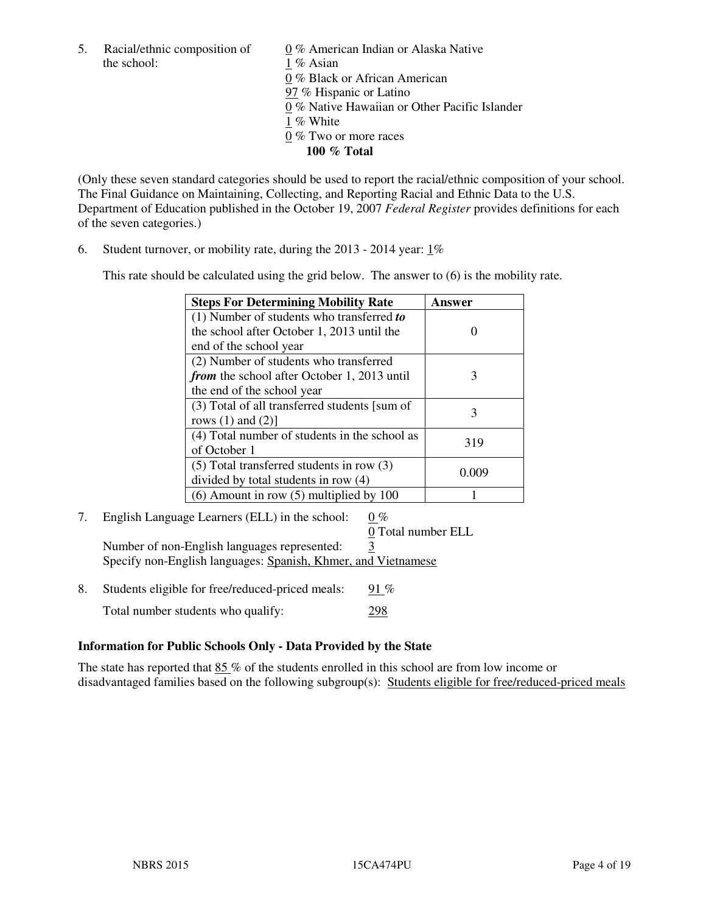the school: 1 % Asian

5. Racial/ethnic composition of  $0\%$  American Indian or Alaska Native 0 % Black or African American 97 % Hispanic or Latino 0 % Native Hawaiian or Other Pacific Islander 1 % White 0 % Two or more races **100 % Total** 

(Only these seven standard categories should be used to report the racial/ethnic composition of your school. The Final Guidance on Maintaining, Collecting, and Reporting Racial and Ethnic Data to the U.S. Department of Education published in the October 19, 2007 *Federal Register* provides definitions for each of the seven categories.)

6. Student turnover, or mobility rate, during the 2013 - 2014 year: 1%

This rate should be calculated using the grid below. The answer to (6) is the mobility rate.

| <b>Steps For Determining Mobility Rate</b>         | Answer |
|----------------------------------------------------|--------|
| $(1)$ Number of students who transferred to        |        |
| the school after October 1, 2013 until the         |        |
| end of the school year                             |        |
| (2) Number of students who transferred             |        |
| <i>from</i> the school after October 1, 2013 until | 3      |
| the end of the school year                         |        |
| (3) Total of all transferred students [sum of      | 3      |
| rows $(1)$ and $(2)$ ]                             |        |
| (4) Total number of students in the school as      | 319    |
| of October 1                                       |        |
| $(5)$ Total transferred students in row $(3)$      |        |
| divided by total students in row (4)               | 0.009  |
| $(6)$ Amount in row $(5)$ multiplied by 100        |        |

7. English Language Learners (ELL) in the school: 0 %

0 Total number ELL

Number of non-English languages represented: 3 Specify non-English languages: Spanish, Khmer, and Vietnamese

8. Students eligible for free/reduced-priced meals:  $91\%$ Total number students who qualify: 298

# **Information for Public Schools Only - Data Provided by the State**

The state has reported that 85 % of the students enrolled in this school are from low income or disadvantaged families based on the following subgroup(s): Students eligible for free/reduced-priced meals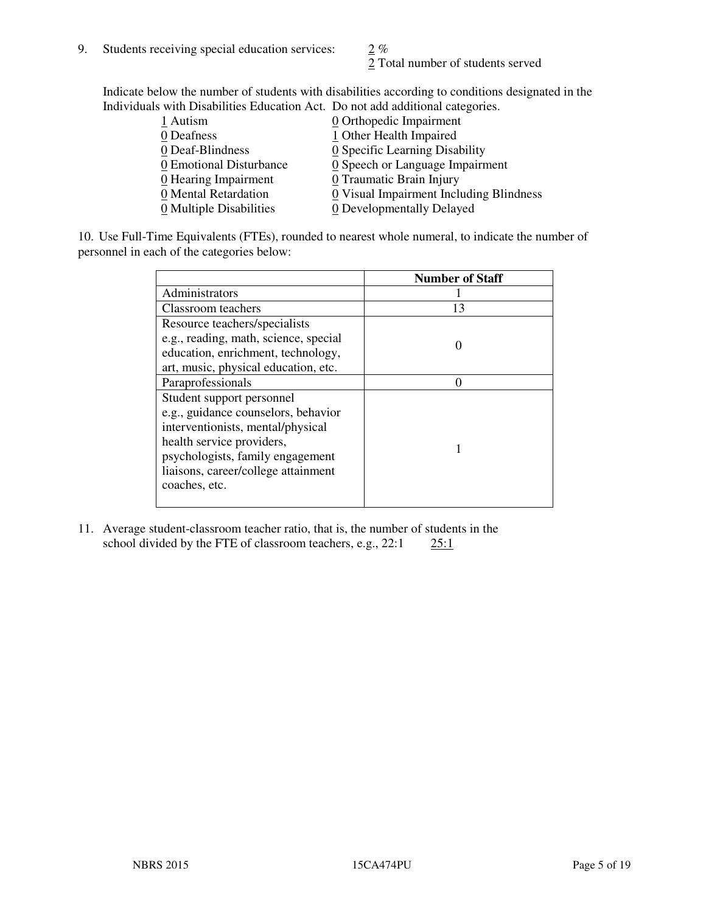2 Total number of students served

Indicate below the number of students with disabilities according to conditions designated in the Individuals with Disabilities Education Act. Do not add additional categories.

| 1 Autism                           | $Q$ Orthopedic Impairment               |
|------------------------------------|-----------------------------------------|
| 0 Deafness                         | 1 Other Health Impaired                 |
| 0 Deaf-Blindness                   | 0 Specific Learning Disability          |
| 0 Emotional Disturbance            | 0 Speech or Language Impairment         |
| $\underline{0}$ Hearing Impairment | 0 Traumatic Brain Injury                |
| 0 Mental Retardation               | 0 Visual Impairment Including Blindness |
| 0 Multiple Disabilities            | 0 Developmentally Delayed               |
|                                    |                                         |

10. Use Full-Time Equivalents (FTEs), rounded to nearest whole numeral, to indicate the number of personnel in each of the categories below:

|                                       | <b>Number of Staff</b> |
|---------------------------------------|------------------------|
| Administrators                        |                        |
| Classroom teachers                    | 13                     |
| Resource teachers/specialists         |                        |
| e.g., reading, math, science, special |                        |
| education, enrichment, technology,    |                        |
| art, music, physical education, etc.  |                        |
| Paraprofessionals                     |                        |
| Student support personnel             |                        |
| e.g., guidance counselors, behavior   |                        |
| interventionists, mental/physical     |                        |
| health service providers,             |                        |
| psychologists, family engagement      |                        |
| liaisons, career/college attainment   |                        |
| coaches, etc.                         |                        |
|                                       |                        |

11. Average student-classroom teacher ratio, that is, the number of students in the school divided by the FTE of classroom teachers, e.g.,  $22:1$   $25:1$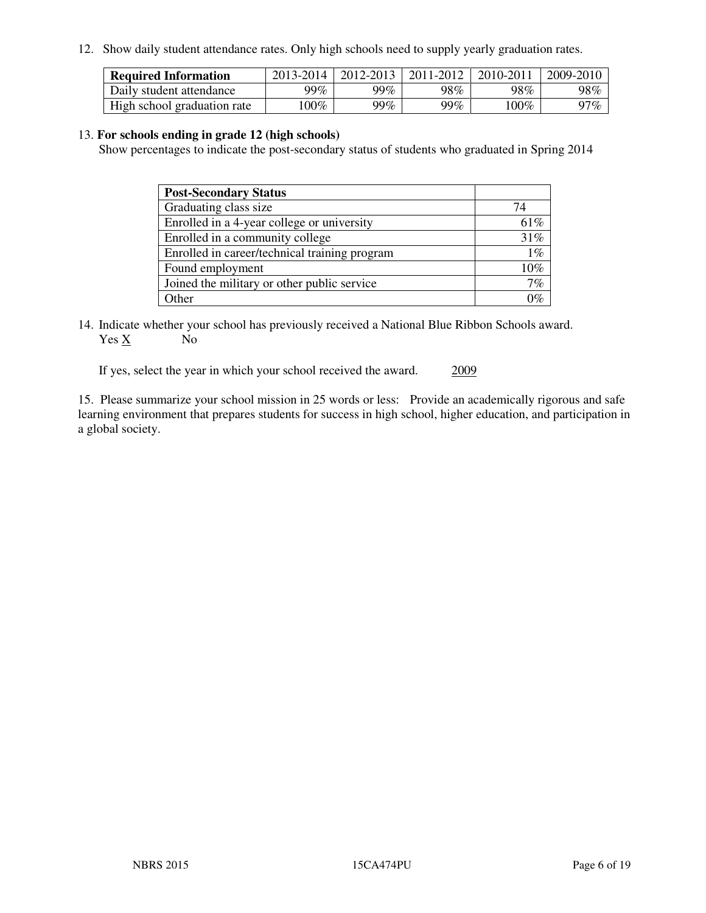12. Show daily student attendance rates. Only high schools need to supply yearly graduation rates.

| <b>Required Information</b> | 2013-2014 | 2012-2013 | 2011-2012 | 2010-2011 | 2009-2010 |
|-----------------------------|-----------|-----------|-----------|-----------|-----------|
| Daily student attendance    | 99%       | 99%       | 98%       | 98%       | 98%       |
| High school graduation rate | $00\%$    | 99%       | 99%       | 100%      | 97%       |

#### 13. **For schools ending in grade 12 (high schools)**

Show percentages to indicate the post-secondary status of students who graduated in Spring 2014

| <b>Post-Secondary Status</b>                  |                |
|-----------------------------------------------|----------------|
| Graduating class size                         | 74             |
| Enrolled in a 4-year college or university    | 61\%           |
| Enrolled in a community college               | 31%            |
| Enrolled in career/technical training program | $1\%$          |
| Found employment                              | 10%            |
| Joined the military or other public service   | 7%             |
| Other                                         | $\overline{O}$ |

14. Indicate whether your school has previously received a National Blue Ribbon Schools award. Yes X No

If yes, select the year in which your school received the award. 2009

15. Please summarize your school mission in 25 words or less: Provide an academically rigorous and safe learning environment that prepares students for success in high school, higher education, and participation in a global society.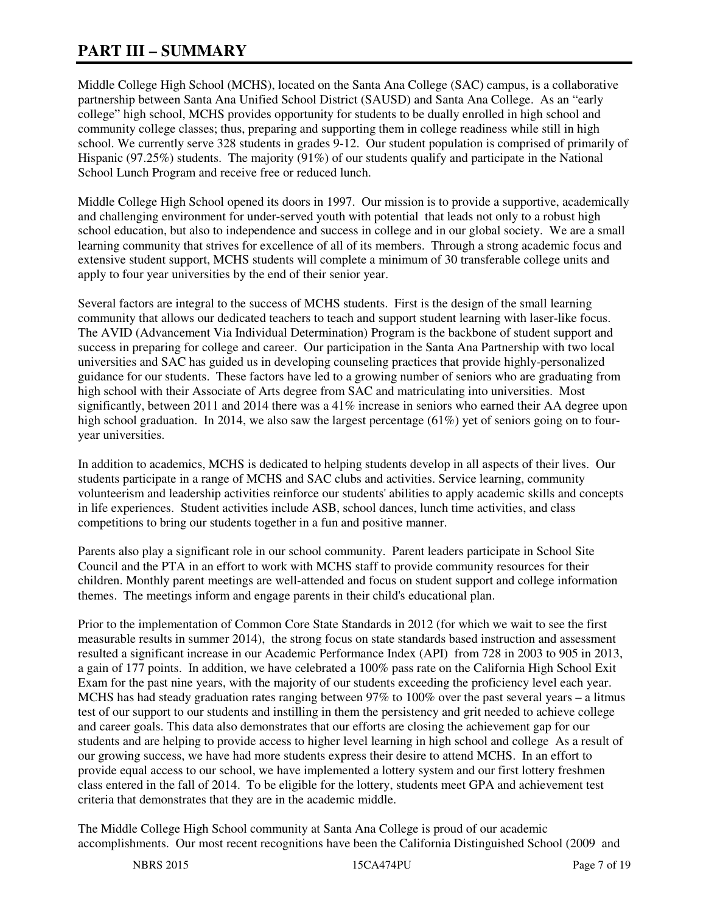# **PART III – SUMMARY**

Middle College High School (MCHS), located on the Santa Ana College (SAC) campus, is a collaborative partnership between Santa Ana Unified School District (SAUSD) and Santa Ana College. As an "early college" high school, MCHS provides opportunity for students to be dually enrolled in high school and community college classes; thus, preparing and supporting them in college readiness while still in high school. We currently serve 328 students in grades 9-12. Our student population is comprised of primarily of Hispanic (97.25%) students. The majority (91%) of our students qualify and participate in the National School Lunch Program and receive free or reduced lunch.

Middle College High School opened its doors in 1997. Our mission is to provide a supportive, academically and challenging environment for under-served youth with potential that leads not only to a robust high school education, but also to independence and success in college and in our global society. We are a small learning community that strives for excellence of all of its members. Through a strong academic focus and extensive student support, MCHS students will complete a minimum of 30 transferable college units and apply to four year universities by the end of their senior year.

Several factors are integral to the success of MCHS students. First is the design of the small learning community that allows our dedicated teachers to teach and support student learning with laser-like focus. The AVID (Advancement Via Individual Determination) Program is the backbone of student support and success in preparing for college and career. Our participation in the Santa Ana Partnership with two local universities and SAC has guided us in developing counseling practices that provide highly-personalized guidance for our students. These factors have led to a growing number of seniors who are graduating from high school with their Associate of Arts degree from SAC and matriculating into universities. Most significantly, between 2011 and 2014 there was a 41% increase in seniors who earned their AA degree upon high school graduation. In 2014, we also saw the largest percentage (61%) yet of seniors going on to fouryear universities.

In addition to academics, MCHS is dedicated to helping students develop in all aspects of their lives. Our students participate in a range of MCHS and SAC clubs and activities. Service learning, community volunteerism and leadership activities reinforce our students' abilities to apply academic skills and concepts in life experiences. Student activities include ASB, school dances, lunch time activities, and class competitions to bring our students together in a fun and positive manner.

Parents also play a significant role in our school community. Parent leaders participate in School Site Council and the PTA in an effort to work with MCHS staff to provide community resources for their children. Monthly parent meetings are well-attended and focus on student support and college information themes. The meetings inform and engage parents in their child's educational plan.

Prior to the implementation of Common Core State Standards in 2012 (for which we wait to see the first measurable results in summer 2014), the strong focus on state standards based instruction and assessment resulted a significant increase in our Academic Performance Index (API) from 728 in 2003 to 905 in 2013, a gain of 177 points. In addition, we have celebrated a 100% pass rate on the California High School Exit Exam for the past nine years, with the majority of our students exceeding the proficiency level each year. MCHS has had steady graduation rates ranging between 97% to 100% over the past several years – a litmus test of our support to our students and instilling in them the persistency and grit needed to achieve college and career goals. This data also demonstrates that our efforts are closing the achievement gap for our students and are helping to provide access to higher level learning in high school and college As a result of our growing success, we have had more students express their desire to attend MCHS. In an effort to provide equal access to our school, we have implemented a lottery system and our first lottery freshmen class entered in the fall of 2014. To be eligible for the lottery, students meet GPA and achievement test criteria that demonstrates that they are in the academic middle.

The Middle College High School community at Santa Ana College is proud of our academic accomplishments. Our most recent recognitions have been the California Distinguished School (2009 and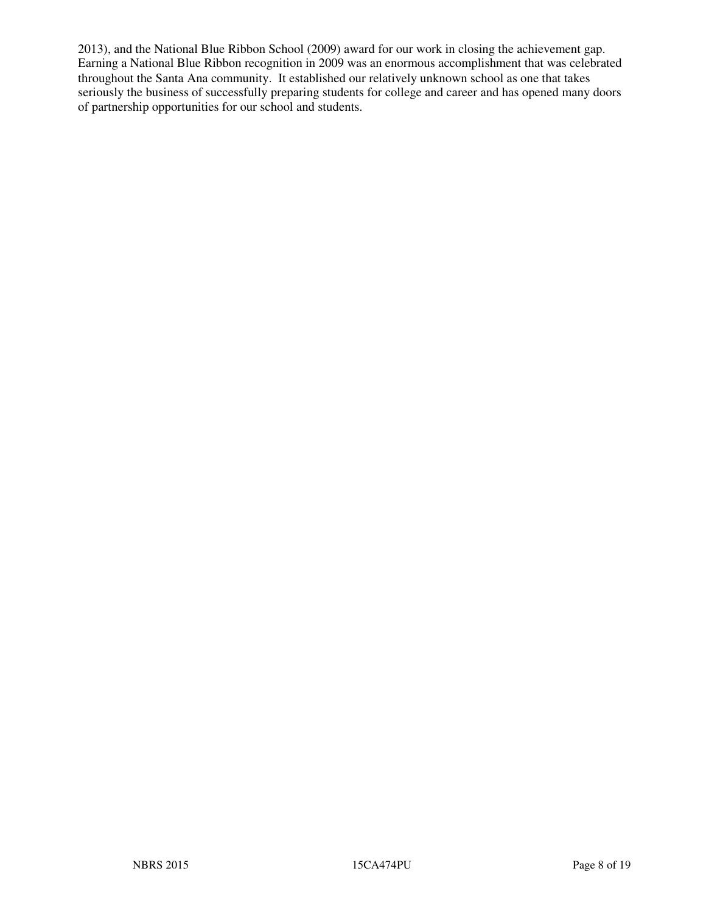2013), and the National Blue Ribbon School (2009) award for our work in closing the achievement gap. Earning a National Blue Ribbon recognition in 2009 was an enormous accomplishment that was celebrated throughout the Santa Ana community. It established our relatively unknown school as one that takes seriously the business of successfully preparing students for college and career and has opened many doors of partnership opportunities for our school and students.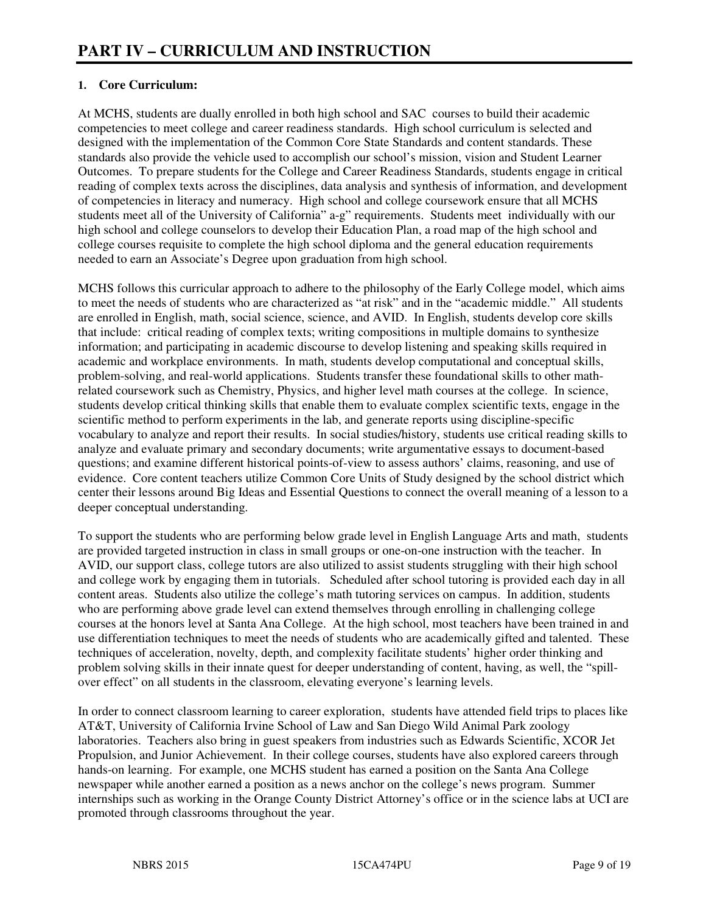# **1. Core Curriculum:**

At MCHS, students are dually enrolled in both high school and SAC courses to build their academic competencies to meet college and career readiness standards. High school curriculum is selected and designed with the implementation of the Common Core State Standards and content standards. These standards also provide the vehicle used to accomplish our school's mission, vision and Student Learner Outcomes. To prepare students for the College and Career Readiness Standards, students engage in critical reading of complex texts across the disciplines, data analysis and synthesis of information, and development of competencies in literacy and numeracy. High school and college coursework ensure that all MCHS students meet all of the University of California" a-g" requirements. Students meet individually with our high school and college counselors to develop their Education Plan, a road map of the high school and college courses requisite to complete the high school diploma and the general education requirements needed to earn an Associate's Degree upon graduation from high school.

MCHS follows this curricular approach to adhere to the philosophy of the Early College model, which aims to meet the needs of students who are characterized as "at risk" and in the "academic middle." All students are enrolled in English, math, social science, science, and AVID. In English, students develop core skills that include: critical reading of complex texts; writing compositions in multiple domains to synthesize information; and participating in academic discourse to develop listening and speaking skills required in academic and workplace environments. In math, students develop computational and conceptual skills, problem-solving, and real-world applications. Students transfer these foundational skills to other mathrelated coursework such as Chemistry, Physics, and higher level math courses at the college. In science, students develop critical thinking skills that enable them to evaluate complex scientific texts, engage in the scientific method to perform experiments in the lab, and generate reports using discipline-specific vocabulary to analyze and report their results. In social studies/history, students use critical reading skills to analyze and evaluate primary and secondary documents; write argumentative essays to document-based questions; and examine different historical points-of-view to assess authors' claims, reasoning, and use of evidence. Core content teachers utilize Common Core Units of Study designed by the school district which center their lessons around Big Ideas and Essential Questions to connect the overall meaning of a lesson to a deeper conceptual understanding.

To support the students who are performing below grade level in English Language Arts and math, students are provided targeted instruction in class in small groups or one-on-one instruction with the teacher. In AVID, our support class, college tutors are also utilized to assist students struggling with their high school and college work by engaging them in tutorials. Scheduled after school tutoring is provided each day in all content areas. Students also utilize the college's math tutoring services on campus. In addition, students who are performing above grade level can extend themselves through enrolling in challenging college courses at the honors level at Santa Ana College. At the high school, most teachers have been trained in and use differentiation techniques to meet the needs of students who are academically gifted and talented. These techniques of acceleration, novelty, depth, and complexity facilitate students' higher order thinking and problem solving skills in their innate quest for deeper understanding of content, having, as well, the "spillover effect" on all students in the classroom, elevating everyone's learning levels.

In order to connect classroom learning to career exploration, students have attended field trips to places like AT&T, University of California Irvine School of Law and San Diego Wild Animal Park zoology laboratories. Teachers also bring in guest speakers from industries such as Edwards Scientific, XCOR Jet Propulsion, and Junior Achievement. In their college courses, students have also explored careers through hands-on learning. For example, one MCHS student has earned a position on the Santa Ana College newspaper while another earned a position as a news anchor on the college's news program. Summer internships such as working in the Orange County District Attorney's office or in the science labs at UCI are promoted through classrooms throughout the year.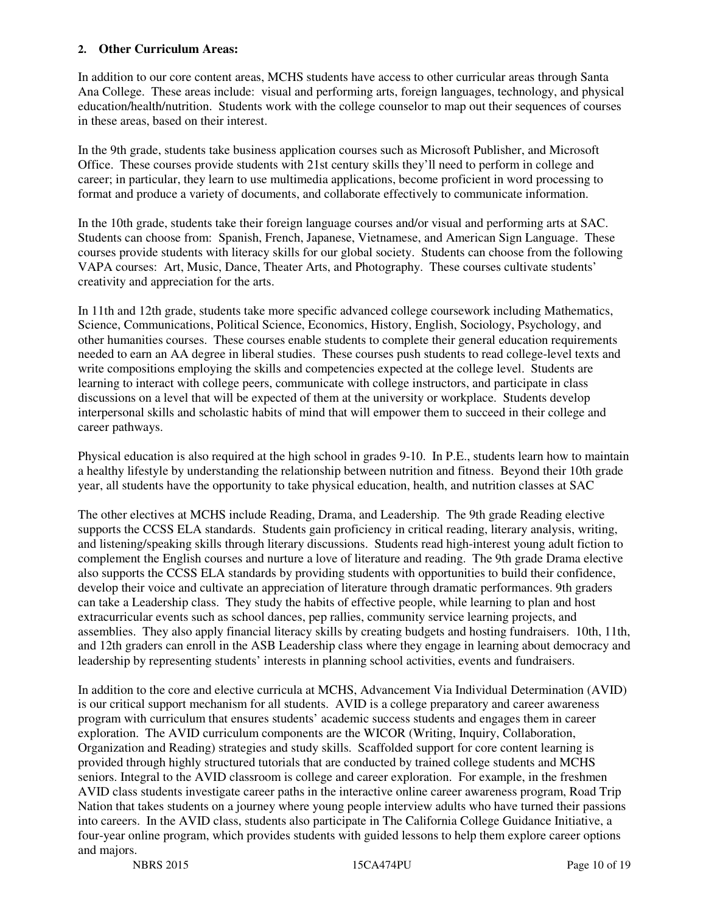#### **2. Other Curriculum Areas:**

In addition to our core content areas, MCHS students have access to other curricular areas through Santa Ana College. These areas include: visual and performing arts, foreign languages, technology, and physical education/health/nutrition. Students work with the college counselor to map out their sequences of courses in these areas, based on their interest.

In the 9th grade, students take business application courses such as Microsoft Publisher, and Microsoft Office. These courses provide students with 21st century skills they'll need to perform in college and career; in particular, they learn to use multimedia applications, become proficient in word processing to format and produce a variety of documents, and collaborate effectively to communicate information.

In the 10th grade, students take their foreign language courses and/or visual and performing arts at SAC. Students can choose from: Spanish, French, Japanese, Vietnamese, and American Sign Language. These courses provide students with literacy skills for our global society. Students can choose from the following VAPA courses: Art, Music, Dance, Theater Arts, and Photography. These courses cultivate students' creativity and appreciation for the arts.

In 11th and 12th grade, students take more specific advanced college coursework including Mathematics, Science, Communications, Political Science, Economics, History, English, Sociology, Psychology, and other humanities courses. These courses enable students to complete their general education requirements needed to earn an AA degree in liberal studies. These courses push students to read college-level texts and write compositions employing the skills and competencies expected at the college level. Students are learning to interact with college peers, communicate with college instructors, and participate in class discussions on a level that will be expected of them at the university or workplace. Students develop interpersonal skills and scholastic habits of mind that will empower them to succeed in their college and career pathways.

Physical education is also required at the high school in grades 9-10. In P.E., students learn how to maintain a healthy lifestyle by understanding the relationship between nutrition and fitness. Beyond their 10th grade year, all students have the opportunity to take physical education, health, and nutrition classes at SAC

The other electives at MCHS include Reading, Drama, and Leadership. The 9th grade Reading elective supports the CCSS ELA standards. Students gain proficiency in critical reading, literary analysis, writing, and listening/speaking skills through literary discussions. Students read high-interest young adult fiction to complement the English courses and nurture a love of literature and reading. The 9th grade Drama elective also supports the CCSS ELA standards by providing students with opportunities to build their confidence, develop their voice and cultivate an appreciation of literature through dramatic performances. 9th graders can take a Leadership class. They study the habits of effective people, while learning to plan and host extracurricular events such as school dances, pep rallies, community service learning projects, and assemblies. They also apply financial literacy skills by creating budgets and hosting fundraisers. 10th, 11th, and 12th graders can enroll in the ASB Leadership class where they engage in learning about democracy and leadership by representing students' interests in planning school activities, events and fundraisers.

In addition to the core and elective curricula at MCHS, Advancement Via Individual Determination (AVID) is our critical support mechanism for all students. AVID is a college preparatory and career awareness program with curriculum that ensures students' academic success students and engages them in career exploration. The AVID curriculum components are the WICOR (Writing, Inquiry, Collaboration, Organization and Reading) strategies and study skills. Scaffolded support for core content learning is provided through highly structured tutorials that are conducted by trained college students and MCHS seniors. Integral to the AVID classroom is college and career exploration. For example, in the freshmen AVID class students investigate career paths in the interactive online career awareness program, Road Trip Nation that takes students on a journey where young people interview adults who have turned their passions into careers. In the AVID class, students also participate in The California College Guidance Initiative, a four-year online program, which provides students with guided lessons to help them explore career options and majors.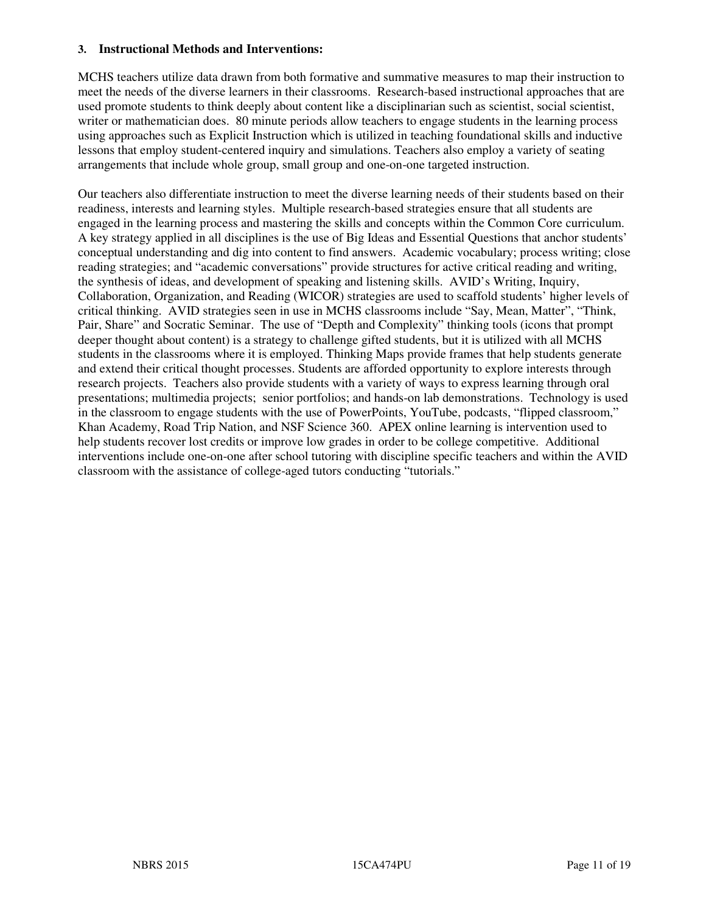#### **3. Instructional Methods and Interventions:**

MCHS teachers utilize data drawn from both formative and summative measures to map their instruction to meet the needs of the diverse learners in their classrooms. Research-based instructional approaches that are used promote students to think deeply about content like a disciplinarian such as scientist, social scientist, writer or mathematician does. 80 minute periods allow teachers to engage students in the learning process using approaches such as Explicit Instruction which is utilized in teaching foundational skills and inductive lessons that employ student-centered inquiry and simulations. Teachers also employ a variety of seating arrangements that include whole group, small group and one-on-one targeted instruction.

Our teachers also differentiate instruction to meet the diverse learning needs of their students based on their readiness, interests and learning styles. Multiple research-based strategies ensure that all students are engaged in the learning process and mastering the skills and concepts within the Common Core curriculum. A key strategy applied in all disciplines is the use of Big Ideas and Essential Questions that anchor students' conceptual understanding and dig into content to find answers. Academic vocabulary; process writing; close reading strategies; and "academic conversations" provide structures for active critical reading and writing, the synthesis of ideas, and development of speaking and listening skills. AVID's Writing, Inquiry, Collaboration, Organization, and Reading (WICOR) strategies are used to scaffold students' higher levels of critical thinking. AVID strategies seen in use in MCHS classrooms include "Say, Mean, Matter", "Think, Pair, Share" and Socratic Seminar. The use of "Depth and Complexity" thinking tools (icons that prompt deeper thought about content) is a strategy to challenge gifted students, but it is utilized with all MCHS students in the classrooms where it is employed. Thinking Maps provide frames that help students generate and extend their critical thought processes. Students are afforded opportunity to explore interests through research projects. Teachers also provide students with a variety of ways to express learning through oral presentations; multimedia projects; senior portfolios; and hands-on lab demonstrations. Technology is used in the classroom to engage students with the use of PowerPoints, YouTube, podcasts, "flipped classroom," Khan Academy, Road Trip Nation, and NSF Science 360. APEX online learning is intervention used to help students recover lost credits or improve low grades in order to be college competitive. Additional interventions include one-on-one after school tutoring with discipline specific teachers and within the AVID classroom with the assistance of college-aged tutors conducting "tutorials."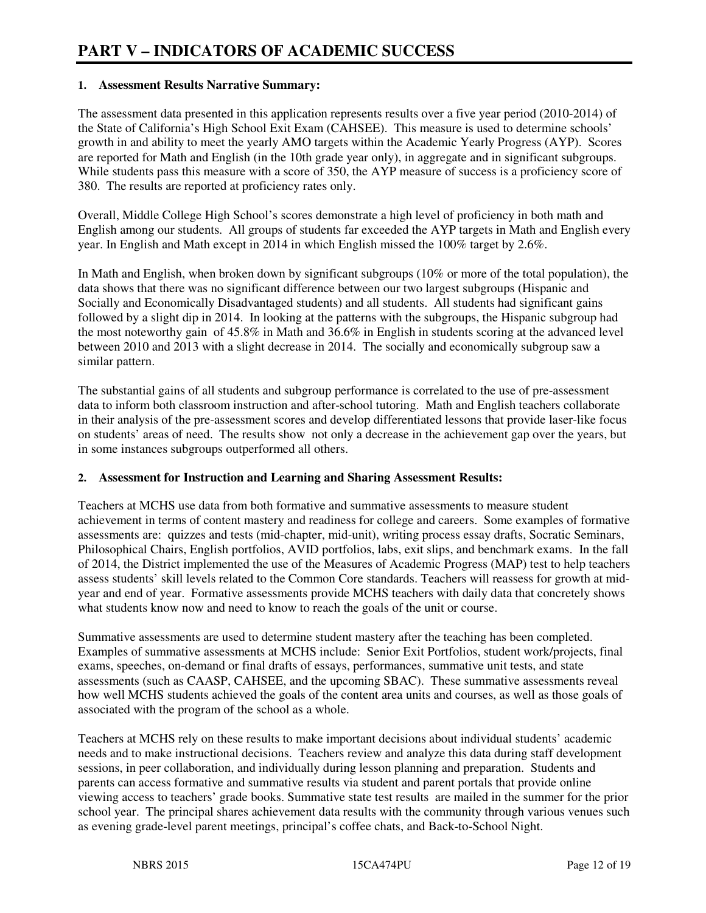## **1. Assessment Results Narrative Summary:**

The assessment data presented in this application represents results over a five year period (2010-2014) of the State of California's High School Exit Exam (CAHSEE). This measure is used to determine schools' growth in and ability to meet the yearly AMO targets within the Academic Yearly Progress (AYP). Scores are reported for Math and English (in the 10th grade year only), in aggregate and in significant subgroups. While students pass this measure with a score of 350, the AYP measure of success is a proficiency score of 380. The results are reported at proficiency rates only.

Overall, Middle College High School's scores demonstrate a high level of proficiency in both math and English among our students. All groups of students far exceeded the AYP targets in Math and English every year. In English and Math except in 2014 in which English missed the 100% target by 2.6%.

In Math and English, when broken down by significant subgroups (10% or more of the total population), the data shows that there was no significant difference between our two largest subgroups (Hispanic and Socially and Economically Disadvantaged students) and all students. All students had significant gains followed by a slight dip in 2014. In looking at the patterns with the subgroups, the Hispanic subgroup had the most noteworthy gain of 45.8% in Math and 36.6% in English in students scoring at the advanced level between 2010 and 2013 with a slight decrease in 2014. The socially and economically subgroup saw a similar pattern.

The substantial gains of all students and subgroup performance is correlated to the use of pre-assessment data to inform both classroom instruction and after-school tutoring. Math and English teachers collaborate in their analysis of the pre-assessment scores and develop differentiated lessons that provide laser-like focus on students' areas of need. The results show not only a decrease in the achievement gap over the years, but in some instances subgroups outperformed all others.

#### **2. Assessment for Instruction and Learning and Sharing Assessment Results:**

Teachers at MCHS use data from both formative and summative assessments to measure student achievement in terms of content mastery and readiness for college and careers. Some examples of formative assessments are: quizzes and tests (mid-chapter, mid-unit), writing process essay drafts, Socratic Seminars, Philosophical Chairs, English portfolios, AVID portfolios, labs, exit slips, and benchmark exams. In the fall of 2014, the District implemented the use of the Measures of Academic Progress (MAP) test to help teachers assess students' skill levels related to the Common Core standards. Teachers will reassess for growth at midyear and end of year. Formative assessments provide MCHS teachers with daily data that concretely shows what students know now and need to know to reach the goals of the unit or course.

Summative assessments are used to determine student mastery after the teaching has been completed. Examples of summative assessments at MCHS include: Senior Exit Portfolios, student work/projects, final exams, speeches, on-demand or final drafts of essays, performances, summative unit tests, and state assessments (such as CAASP, CAHSEE, and the upcoming SBAC). These summative assessments reveal how well MCHS students achieved the goals of the content area units and courses, as well as those goals of associated with the program of the school as a whole.

Teachers at MCHS rely on these results to make important decisions about individual students' academic needs and to make instructional decisions. Teachers review and analyze this data during staff development sessions, in peer collaboration, and individually during lesson planning and preparation. Students and parents can access formative and summative results via student and parent portals that provide online viewing access to teachers' grade books. Summative state test results are mailed in the summer for the prior school year. The principal shares achievement data results with the community through various venues such as evening grade-level parent meetings, principal's coffee chats, and Back-to-School Night.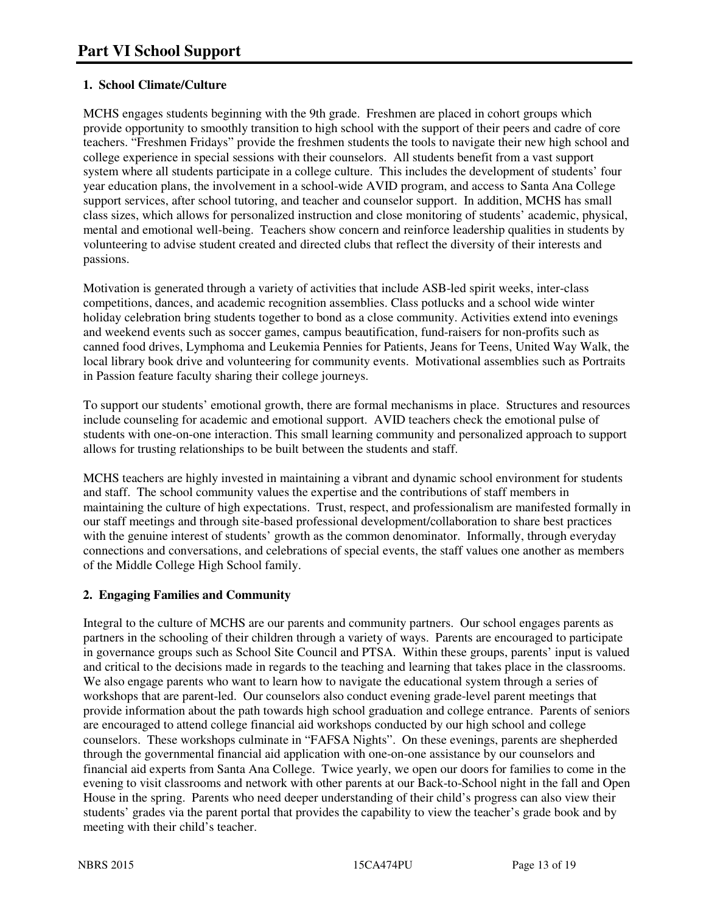# **1. School Climate/Culture**

MCHS engages students beginning with the 9th grade. Freshmen are placed in cohort groups which provide opportunity to smoothly transition to high school with the support of their peers and cadre of core teachers. "Freshmen Fridays" provide the freshmen students the tools to navigate their new high school and college experience in special sessions with their counselors. All students benefit from a vast support system where all students participate in a college culture. This includes the development of students' four year education plans, the involvement in a school-wide AVID program, and access to Santa Ana College support services, after school tutoring, and teacher and counselor support. In addition, MCHS has small class sizes, which allows for personalized instruction and close monitoring of students' academic, physical, mental and emotional well-being. Teachers show concern and reinforce leadership qualities in students by volunteering to advise student created and directed clubs that reflect the diversity of their interests and passions.

Motivation is generated through a variety of activities that include ASB-led spirit weeks, inter-class competitions, dances, and academic recognition assemblies. Class potlucks and a school wide winter holiday celebration bring students together to bond as a close community. Activities extend into evenings and weekend events such as soccer games, campus beautification, fund-raisers for non-profits such as canned food drives, Lymphoma and Leukemia Pennies for Patients, Jeans for Teens, United Way Walk, the local library book drive and volunteering for community events. Motivational assemblies such as Portraits in Passion feature faculty sharing their college journeys.

To support our students' emotional growth, there are formal mechanisms in place. Structures and resources include counseling for academic and emotional support. AVID teachers check the emotional pulse of students with one-on-one interaction. This small learning community and personalized approach to support allows for trusting relationships to be built between the students and staff.

MCHS teachers are highly invested in maintaining a vibrant and dynamic school environment for students and staff. The school community values the expertise and the contributions of staff members in maintaining the culture of high expectations. Trust, respect, and professionalism are manifested formally in our staff meetings and through site-based professional development/collaboration to share best practices with the genuine interest of students' growth as the common denominator. Informally, through everyday connections and conversations, and celebrations of special events, the staff values one another as members of the Middle College High School family.

# **2. Engaging Families and Community**

Integral to the culture of MCHS are our parents and community partners. Our school engages parents as partners in the schooling of their children through a variety of ways. Parents are encouraged to participate in governance groups such as School Site Council and PTSA. Within these groups, parents' input is valued and critical to the decisions made in regards to the teaching and learning that takes place in the classrooms. We also engage parents who want to learn how to navigate the educational system through a series of workshops that are parent-led. Our counselors also conduct evening grade-level parent meetings that provide information about the path towards high school graduation and college entrance. Parents of seniors are encouraged to attend college financial aid workshops conducted by our high school and college counselors. These workshops culminate in "FAFSA Nights". On these evenings, parents are shepherded through the governmental financial aid application with one-on-one assistance by our counselors and financial aid experts from Santa Ana College. Twice yearly, we open our doors for families to come in the evening to visit classrooms and network with other parents at our Back-to-School night in the fall and Open House in the spring. Parents who need deeper understanding of their child's progress can also view their students' grades via the parent portal that provides the capability to view the teacher's grade book and by meeting with their child's teacher.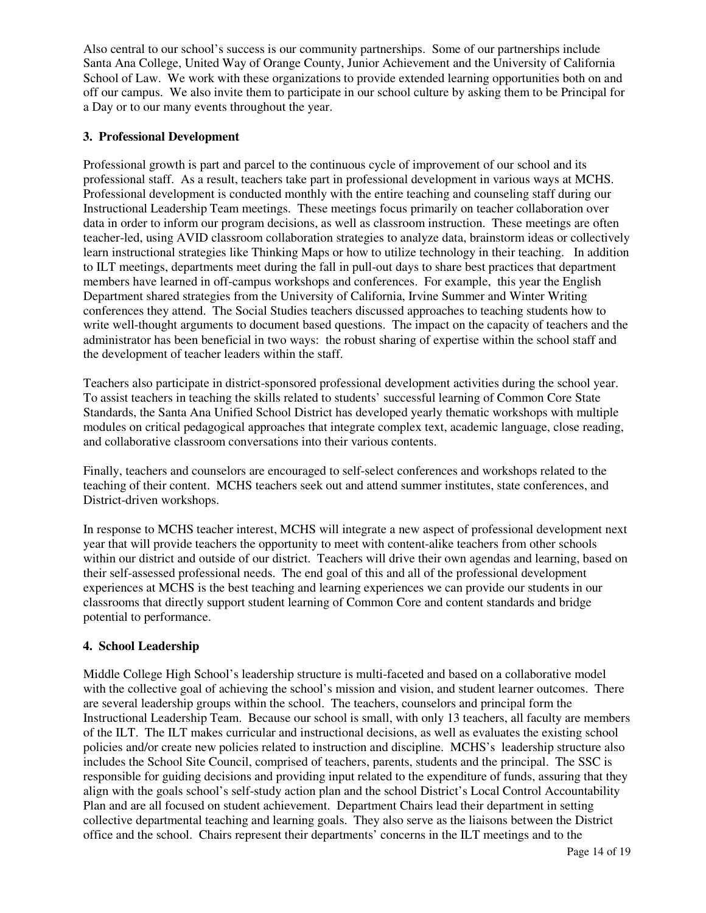Also central to our school's success is our community partnerships. Some of our partnerships include Santa Ana College, United Way of Orange County, Junior Achievement and the University of California School of Law. We work with these organizations to provide extended learning opportunities both on and off our campus. We also invite them to participate in our school culture by asking them to be Principal for a Day or to our many events throughout the year.

## **3. Professional Development**

Professional growth is part and parcel to the continuous cycle of improvement of our school and its professional staff. As a result, teachers take part in professional development in various ways at MCHS. Professional development is conducted monthly with the entire teaching and counseling staff during our Instructional Leadership Team meetings. These meetings focus primarily on teacher collaboration over data in order to inform our program decisions, as well as classroom instruction. These meetings are often teacher-led, using AVID classroom collaboration strategies to analyze data, brainstorm ideas or collectively learn instructional strategies like Thinking Maps or how to utilize technology in their teaching. In addition to ILT meetings, departments meet during the fall in pull-out days to share best practices that department members have learned in off-campus workshops and conferences. For example, this year the English Department shared strategies from the University of California, Irvine Summer and Winter Writing conferences they attend. The Social Studies teachers discussed approaches to teaching students how to write well-thought arguments to document based questions. The impact on the capacity of teachers and the administrator has been beneficial in two ways: the robust sharing of expertise within the school staff and the development of teacher leaders within the staff.

Teachers also participate in district-sponsored professional development activities during the school year. To assist teachers in teaching the skills related to students' successful learning of Common Core State Standards, the Santa Ana Unified School District has developed yearly thematic workshops with multiple modules on critical pedagogical approaches that integrate complex text, academic language, close reading, and collaborative classroom conversations into their various contents.

Finally, teachers and counselors are encouraged to self-select conferences and workshops related to the teaching of their content. MCHS teachers seek out and attend summer institutes, state conferences, and District-driven workshops.

In response to MCHS teacher interest, MCHS will integrate a new aspect of professional development next year that will provide teachers the opportunity to meet with content-alike teachers from other schools within our district and outside of our district. Teachers will drive their own agendas and learning, based on their self-assessed professional needs. The end goal of this and all of the professional development experiences at MCHS is the best teaching and learning experiences we can provide our students in our classrooms that directly support student learning of Common Core and content standards and bridge potential to performance.

# **4. School Leadership**

Middle College High School's leadership structure is multi-faceted and based on a collaborative model with the collective goal of achieving the school's mission and vision, and student learner outcomes. There are several leadership groups within the school. The teachers, counselors and principal form the Instructional Leadership Team. Because our school is small, with only 13 teachers, all faculty are members of the ILT. The ILT makes curricular and instructional decisions, as well as evaluates the existing school policies and/or create new policies related to instruction and discipline. MCHS's leadership structure also includes the School Site Council, comprised of teachers, parents, students and the principal. The SSC is responsible for guiding decisions and providing input related to the expenditure of funds, assuring that they align with the goals school's self-study action plan and the school District's Local Control Accountability Plan and are all focused on student achievement. Department Chairs lead their department in setting collective departmental teaching and learning goals. They also serve as the liaisons between the District office and the school. Chairs represent their departments' concerns in the ILT meetings and to the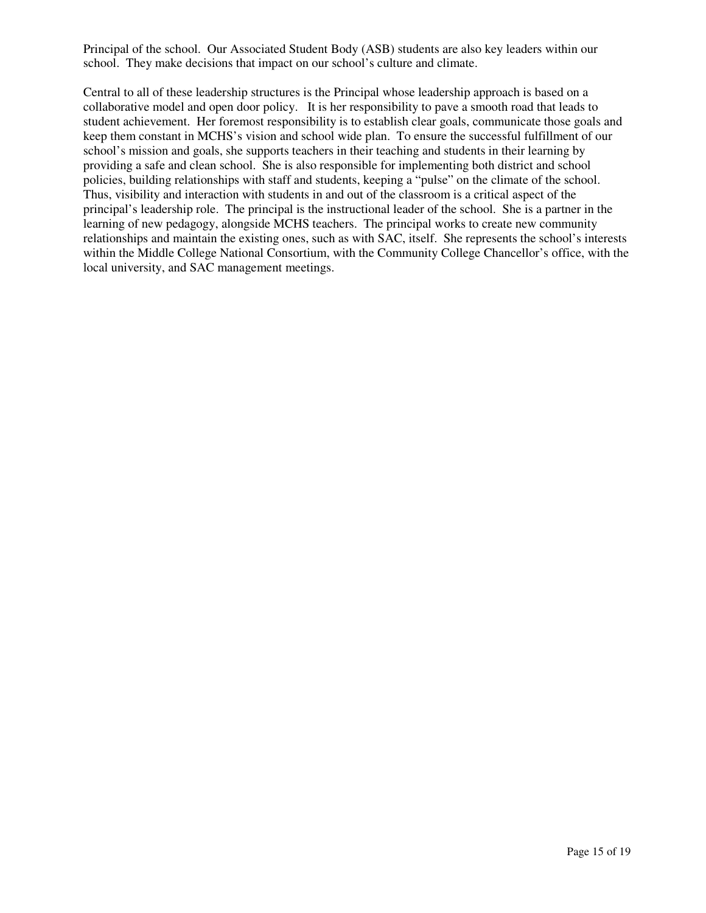Principal of the school. Our Associated Student Body (ASB) students are also key leaders within our school. They make decisions that impact on our school's culture and climate.

Central to all of these leadership structures is the Principal whose leadership approach is based on a collaborative model and open door policy. It is her responsibility to pave a smooth road that leads to student achievement. Her foremost responsibility is to establish clear goals, communicate those goals and keep them constant in MCHS's vision and school wide plan. To ensure the successful fulfillment of our school's mission and goals, she supports teachers in their teaching and students in their learning by providing a safe and clean school. She is also responsible for implementing both district and school policies, building relationships with staff and students, keeping a "pulse" on the climate of the school. Thus, visibility and interaction with students in and out of the classroom is a critical aspect of the principal's leadership role. The principal is the instructional leader of the school. She is a partner in the learning of new pedagogy, alongside MCHS teachers. The principal works to create new community relationships and maintain the existing ones, such as with SAC, itself. She represents the school's interests within the Middle College National Consortium, with the Community College Chancellor's office, with the local university, and SAC management meetings.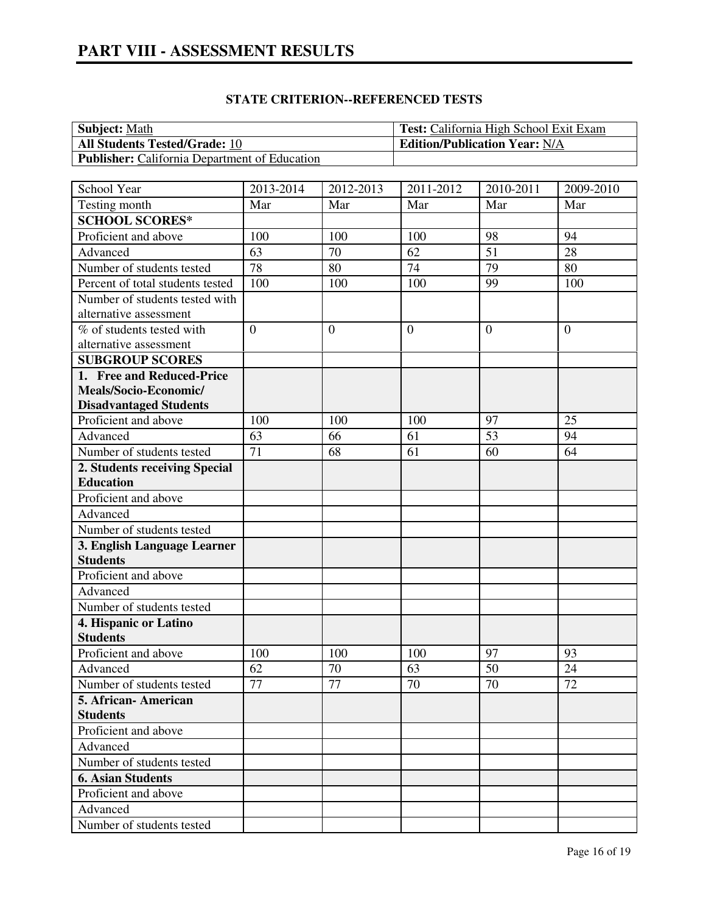| <b>Subject:</b> Math                                 | <b>Test:</b> California High School Exit Exam |
|------------------------------------------------------|-----------------------------------------------|
| <b>All Students Tested/Grade: 10</b>                 | <b>Edition/Publication Year: N/A</b>          |
| <b>Publisher:</b> California Department of Education |                                               |

# **STATE CRITERION--REFERENCED TESTS**

| School Year                      | 2013-2014      | 2012-2013        | 2011-2012        | 2010-2011      | 2009-2010 |
|----------------------------------|----------------|------------------|------------------|----------------|-----------|
| Testing month                    | Mar            | Mar              | Mar              | Mar            | Mar       |
| <b>SCHOOL SCORES*</b>            |                |                  |                  |                |           |
| Proficient and above             | 100            | 100              | 100              | 98             | 94        |
| Advanced                         | 63             | 70               | 62               | 51             | 28        |
| Number of students tested        | 78             | 80               | 74               | 79             | 80        |
| Percent of total students tested | 100            | 100              | 100              | 99             | 100       |
| Number of students tested with   |                |                  |                  |                |           |
| alternative assessment           |                |                  |                  |                |           |
| % of students tested with        | $\overline{0}$ | $\boldsymbol{0}$ | $\boldsymbol{0}$ | $\overline{0}$ | $\theta$  |
| alternative assessment           |                |                  |                  |                |           |
| <b>SUBGROUP SCORES</b>           |                |                  |                  |                |           |
| 1. Free and Reduced-Price        |                |                  |                  |                |           |
| Meals/Socio-Economic/            |                |                  |                  |                |           |
| <b>Disadvantaged Students</b>    |                |                  |                  |                |           |
| Proficient and above             | 100            | 100              | 100              | 97             | 25        |
| Advanced                         | 63             | 66               | 61               | 53             | 94        |
| Number of students tested        | 71             | 68               | 61               | 60             | 64        |
| 2. Students receiving Special    |                |                  |                  |                |           |
| <b>Education</b>                 |                |                  |                  |                |           |
| Proficient and above             |                |                  |                  |                |           |
| Advanced                         |                |                  |                  |                |           |
| Number of students tested        |                |                  |                  |                |           |
| 3. English Language Learner      |                |                  |                  |                |           |
| <b>Students</b>                  |                |                  |                  |                |           |
| Proficient and above             |                |                  |                  |                |           |
| Advanced                         |                |                  |                  |                |           |
| Number of students tested        |                |                  |                  |                |           |
| 4. Hispanic or Latino            |                |                  |                  |                |           |
| <b>Students</b>                  |                |                  |                  |                |           |
| Proficient and above             | 100            | 100              | 100              | 97             | 93        |
| Advanced                         | 62             | 70               | 63               | 50             | 24        |
| Number of students tested        | 77             | 77               | 70               | 70             | 72        |
| 5. African-American              |                |                  |                  |                |           |
| <b>Students</b>                  |                |                  |                  |                |           |
| Proficient and above             |                |                  |                  |                |           |
| Advanced                         |                |                  |                  |                |           |
| Number of students tested        |                |                  |                  |                |           |
| <b>6. Asian Students</b>         |                |                  |                  |                |           |
| Proficient and above             |                |                  |                  |                |           |
| Advanced                         |                |                  |                  |                |           |
| Number of students tested        |                |                  |                  |                |           |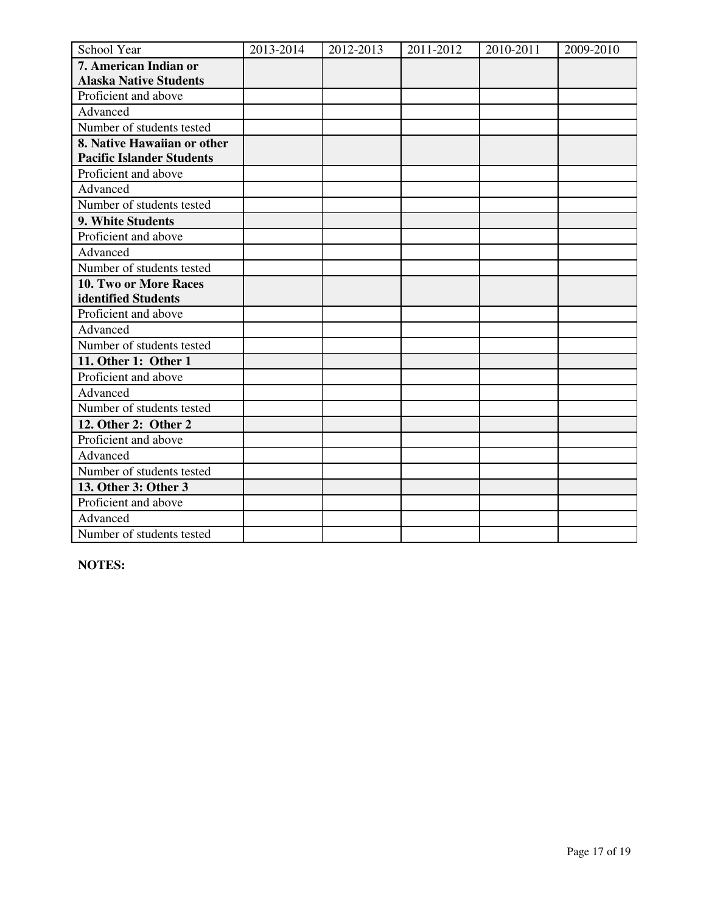| School Year                      | 2013-2014 | 2012-2013 | 2011-2012 | 2010-2011 | 2009-2010 |
|----------------------------------|-----------|-----------|-----------|-----------|-----------|
| 7. American Indian or            |           |           |           |           |           |
| <b>Alaska Native Students</b>    |           |           |           |           |           |
| Proficient and above             |           |           |           |           |           |
| Advanced                         |           |           |           |           |           |
| Number of students tested        |           |           |           |           |           |
| 8. Native Hawaiian or other      |           |           |           |           |           |
| <b>Pacific Islander Students</b> |           |           |           |           |           |
| Proficient and above             |           |           |           |           |           |
| Advanced                         |           |           |           |           |           |
| Number of students tested        |           |           |           |           |           |
| 9. White Students                |           |           |           |           |           |
| Proficient and above             |           |           |           |           |           |
| Advanced                         |           |           |           |           |           |
| Number of students tested        |           |           |           |           |           |
| 10. Two or More Races            |           |           |           |           |           |
| identified Students              |           |           |           |           |           |
| Proficient and above             |           |           |           |           |           |
| Advanced                         |           |           |           |           |           |
| Number of students tested        |           |           |           |           |           |
| 11. Other 1: Other 1             |           |           |           |           |           |
| Proficient and above             |           |           |           |           |           |
| Advanced                         |           |           |           |           |           |
| Number of students tested        |           |           |           |           |           |
| 12. Other 2: Other 2             |           |           |           |           |           |
| Proficient and above             |           |           |           |           |           |
| Advanced                         |           |           |           |           |           |
| Number of students tested        |           |           |           |           |           |
| 13. Other 3: Other 3             |           |           |           |           |           |
| Proficient and above             |           |           |           |           |           |
| Advanced                         |           |           |           |           |           |
| Number of students tested        |           |           |           |           |           |

**NOTES:**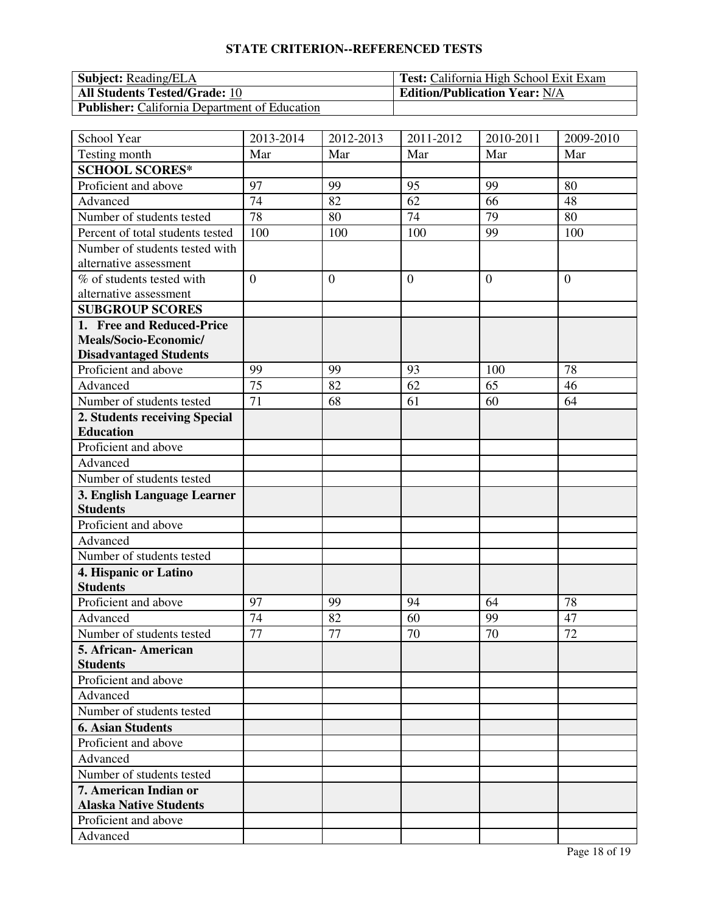# **STATE CRITERION--REFERENCED TESTS**

| <b>Subject:</b> Reading/ELA                          | <b>Test:</b> California High School Exit Exam |
|------------------------------------------------------|-----------------------------------------------|
| <b>All Students Tested/Grade: 10</b>                 | <b>Edition/Publication Year: N/A</b>          |
| <b>Publisher:</b> California Department of Education |                                               |

| School Year                      | 2013-2014      | 2012-2013      | 2011-2012      | 2010-2011      | 2009-2010      |
|----------------------------------|----------------|----------------|----------------|----------------|----------------|
| Testing month                    | Mar            | Mar            | Mar            | Mar            | Mar            |
| <b>SCHOOL SCORES*</b>            |                |                |                |                |                |
| Proficient and above             | 97             | 99             | 95             | 99             | 80             |
| Advanced                         | 74             | 82             | 62             | 66             | 48             |
| Number of students tested        | 78             | 80             | 74             | 79             | 80             |
| Percent of total students tested | 100            | 100            | 100            | 99             | 100            |
| Number of students tested with   |                |                |                |                |                |
| alternative assessment           |                |                |                |                |                |
| % of students tested with        | $\overline{0}$ | $\overline{0}$ | $\overline{0}$ | $\overline{0}$ | $\overline{0}$ |
| alternative assessment           |                |                |                |                |                |
| <b>SUBGROUP SCORES</b>           |                |                |                |                |                |
| 1. Free and Reduced-Price        |                |                |                |                |                |
| Meals/Socio-Economic/            |                |                |                |                |                |
| <b>Disadvantaged Students</b>    |                |                |                |                |                |
| Proficient and above             | 99             | 99             | 93             | 100            | 78             |
| Advanced                         | 75             | 82             | 62             | 65             | 46             |
| Number of students tested        | 71             | 68             | 61             | 60             | 64             |
| 2. Students receiving Special    |                |                |                |                |                |
| <b>Education</b>                 |                |                |                |                |                |
| Proficient and above             |                |                |                |                |                |
| Advanced                         |                |                |                |                |                |
| Number of students tested        |                |                |                |                |                |
| 3. English Language Learner      |                |                |                |                |                |
| <b>Students</b>                  |                |                |                |                |                |
| Proficient and above             |                |                |                |                |                |
| Advanced                         |                |                |                |                |                |
| Number of students tested        |                |                |                |                |                |
| 4. Hispanic or Latino            |                |                |                |                |                |
| <b>Students</b>                  |                |                |                |                |                |
| Proficient and above             | 97             | 99             | 94             | 64             | 78             |
| Advanced                         | 74             | 82             | 60             | 99             | 47             |
| Number of students tested        | 77             | 77             | 70             | 70             | 72             |
| 5. African-American              |                |                |                |                |                |
| <b>Students</b>                  |                |                |                |                |                |
| Proficient and above             |                |                |                |                |                |
| Advanced                         |                |                |                |                |                |
| Number of students tested        |                |                |                |                |                |
| <b>6. Asian Students</b>         |                |                |                |                |                |
| Proficient and above             |                |                |                |                |                |
| Advanced                         |                |                |                |                |                |
| Number of students tested        |                |                |                |                |                |
| 7. American Indian or            |                |                |                |                |                |
| <b>Alaska Native Students</b>    |                |                |                |                |                |
| Proficient and above             |                |                |                |                |                |
| Advanced                         |                |                |                |                |                |